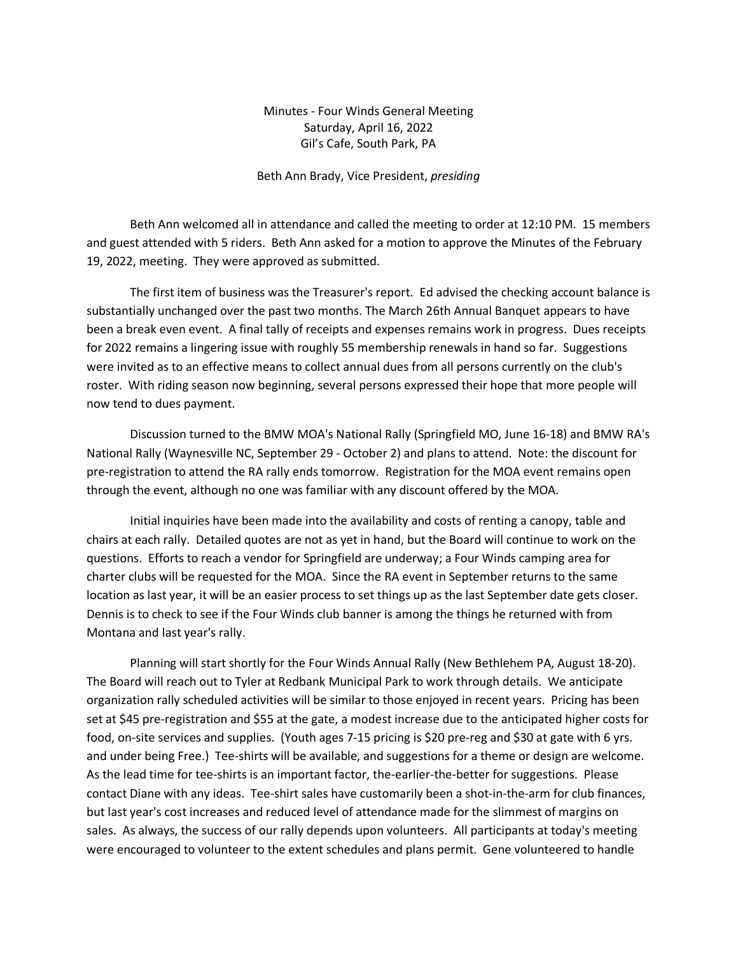## Minutes - Four Winds General Meeting Saturday, April 16, 2022 Gil's Cafe, South Park, PA

## Beth Ann Brady, Vice President, *presiding*

Beth Ann welcomed all in attendance and called the meeting to order at 12:10 PM. 15 members and guest attended with 5 riders. Beth Ann asked for a motion to approve the Minutes of the February 19, 2022, meeting. They were approved as submitted.

The first item of business was the Treasurer's report. Ed advised the checking account balance is substantially unchanged over the past two months. The March 26th Annual Banquet appears to have been a break even event. A final tally of receipts and expenses remains work in progress. Dues receipts for 2022 remains a lingering issue with roughly 55 membership renewals in hand so far. Suggestions were invited as to an effective means to collect annual dues from all persons currently on the club's roster. With riding season now beginning, several persons expressed their hope that more people will now tend to dues payment.

Discussion turned to the BMW MOA's National Rally (Springfield MO, June 16-18) and BMW RA's National Rally (Waynesville NC, September 29 - October 2) and plans to attend. Note: the discount for pre-registration to attend the RA rally ends tomorrow. Registration for the MOA event remains open through the event, although no one was familiar with any discount offered by the MOA.

Initial inquiries have been made into the availability and costs of renting a canopy, table and chairs at each rally. Detailed quotes are not as yet in hand, but the Board will continue to work on the questions. Efforts to reach a vendor for Springfield are underway; a Four Winds camping area for charter clubs will be requested for the MOA. Since the RA event in September returns to the same location as last year, it will be an easier process to set things up as the last September date gets closer. Dennis is to check to see if the Four Winds club banner is among the things he returned with from Montana and last year's rally.

Planning will start shortly for the Four Winds Annual Rally (New Bethlehem PA, August 18-20). The Board will reach out to Tyler at Redbank Municipal Park to work through details. We anticipate organization rally scheduled activities will be similar to those enjoyed in recent years. Pricing has been set at \$45 pre-registration and \$55 at the gate, a modest increase due to the anticipated higher costs for food, on-site services and supplies. (Youth ages 7-15 pricing is \$20 pre-reg and \$30 at gate with 6 yrs. and under being Free.) Tee-shirts will be available, and suggestions for a theme or design are welcome. As the lead time for tee-shirts is an important factor, the-earlier-the-better for suggestions. Please contact Diane with any ideas. Tee-shirt sales have customarily been a shot-in-the-arm for club finances, but last year's cost increases and reduced level of attendance made for the slimmest of margins on sales. As always, the success of our rally depends upon volunteers. All participants at today's meeting were encouraged to volunteer to the extent schedules and plans permit. Gene volunteered to handle